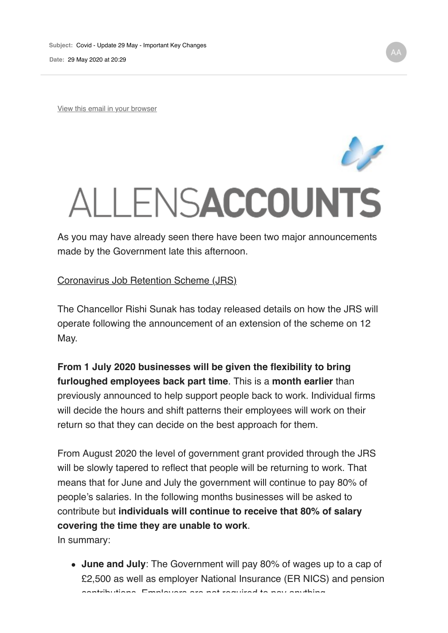View this email in your browser

## ALLENSACCOUNTS

As you may have already seen there have been two major announcements made by the Government late this afternoon.

## Coronavirus Job Retention Scheme (JRS)

The Chancellor Rishi Sunak has today released details on how the JRS will operate following the announcement of an extension of the scheme on 12 May.

**From 1 July 2020 businesses will be given the flexibility to bring furloughed employees back part time**. This is a **month earlier** than previously announced to help support people back to work. Individual firms will decide the hours and shift patterns their employees will work on their return so that they can decide on the best approach for them.

From August 2020 the level of government grant provided through the JRS will be slowly tapered to reflect that people will be returning to work. That means that for June and July the government will continue to pay 80% of people's salaries. In the following months businesses will be asked to contribute but **individuals will continue to receive that 80% of salary covering the time they are unable to work**.

In summary:

**June and July**: The Government will pay 80% of wages up to a cap of £2,500 as well as employer National Insurance (ER NICS) and pension contributions. Employers are not required to pay anything.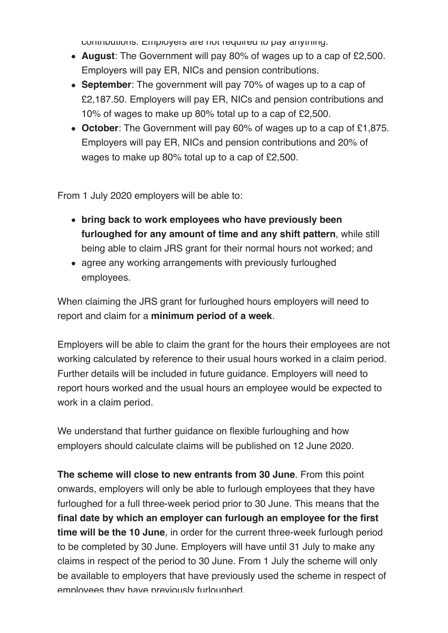contributions. Employers are not required to pay anything.

- **August**: The Government will pay 80% of wages up to a cap of £2,500. Employers will pay ER, NICs and pension contributions.
- **September**: The government will pay 70% of wages up to a cap of £2,187.50. Employers will pay ER, NICs and pension contributions and 10% of wages to make up 80% total up to a cap of £2,500.
- **October**: The Government will pay 60% of wages up to a cap of £1,875. Employers will pay ER, NICs and pension contributions and 20% of wages to make up 80% total up to a cap of £2,500.

From 1 July 2020 employers will be able to:

- **bring back to work employees who have previously been furloughed for any amount of time and any shift pattern**, while still being able to claim JRS grant for their normal hours not worked; and
- agree any working arrangements with previously furloughed employees.

When claiming the JRS grant for furloughed hours employers will need to report and claim for a **minimum period of a week**.

Employers will be able to claim the grant for the hours their employees are not working calculated by reference to their usual hours worked in a claim period. Further details will be included in future guidance. Employers will need to report hours worked and the usual hours an employee would be expected to work in a claim period.

We understand that further guidance on flexible furloughing and how employers should calculate claims will be published on 12 June 2020.

**The scheme will close to new entrants from 30 June**. From this point onwards, employers will only be able to furlough employees that they have furloughed for a full three-week period prior to 30 June. This means that the **final date by which an employer can furlough an employee for the first time will be the 10 June**, in order for the current three-week furlough period to be completed by 30 June. Employers will have until 31 July to make any claims in respect of the period to 30 June. From 1 July the scheme will only be available to employers that have previously used the scheme in respect of employees they have previously furloughed.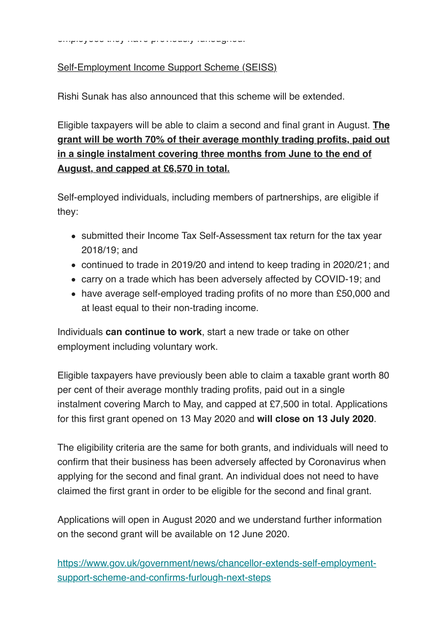employees they have previously furloughed.

## Self-Employment Income Support Scheme (SEISS)

Rishi Sunak has also announced that this scheme will be extended.

Eligible taxpayers will be able to claim a second and final grant in August. **The grant will be worth 70% of their average monthly trading profits, paid out in a single instalment covering three months from June to the end of August, and capped at £6,570 in total.**

Self-employed individuals, including members of partnerships, are eligible if they:

- submitted their Income Tax Self-Assessment tax return for the tax year 2018/19; and
- continued to trade in 2019/20 and intend to keep trading in 2020/21; and
- carry on a trade which has been adversely affected by COVID-19; and
- have average self-employed trading profits of no more than £50,000 and at least equal to their non-trading income.

Individuals **can continue to work**, start a new trade or take on other employment including voluntary work.

Eligible taxpayers have previously been able to claim a taxable grant worth 80 per cent of their average monthly trading profits, paid out in a single instalment covering March to May, and capped at £7,500 in total. Applications for this first grant opened on 13 May 2020 and **will close on 13 July 2020**.

The eligibility criteria are the same for both grants, and individuals will need to confirm that their business has been adversely affected by Coronavirus when applying for the second and final grant. An individual does not need to have claimed the first grant in order to be eligible for the second and final grant.

Applications will open in August 2020 and we understand further information on the second grant will be available on 12 June 2020.

https://www.gov.uk/government/news/chancellor-extends-self-employmentsupport-scheme-and-confirms-furlough-next-steps